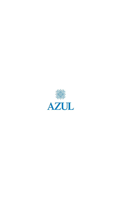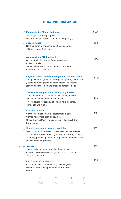## **DESAYUNO • BREAKFAST**

|                | ik Plato de frutas / Fresh fruit plate<br>Sandía, piña, melón y papaya<br>Watermelon, pineapple, cantaloupe and papaya,                                                                                                                                         |                           |                     |               | \$105 |
|----------------|-----------------------------------------------------------------------------------------------------------------------------------------------------------------------------------------------------------------------------------------------------------------|---------------------------|---------------------|---------------|-------|
|                | iam Jugos / Juices<br>Naranja, toronja, zanahoria, betabel, jugo verde<br>/ Orange, grapefruit, carrot,                                                                                                                                                         |                           |                     |               | \$60  |
|                | Avena caliente / Hot oatmeal<br>Acompañada de plátano, fresa, zarzamora,<br>moras y canela<br>Served with bananas, strawberries, blackberries,<br>blueberries and cinnamon                                                                                      |                           |                     |               | \$90  |
|                | Bagel de salmón ahumado / Bagel with smoked salmon<br>Con queso crema, salmón noruego, alcaparras, limón, clara<br>y yema de huevo picada / Cream cheese, Norwegian<br>salmon, capers, lemon and chopped hardboiled egg                                         |                           |                     |               | \$165 |
|                | Canasta de minipan dulce / Mini pastry basket<br>Cinco variedades de pan dulce: croissants, rollo de<br>chocolate, concha, banderilla y muffin<br>Five varieties: croissants, chocolate rolls, conchas,<br>banderilla and muffin                                |                           |                     |               | \$75  |
|                | <b>Cereales / Cereal</b><br>Servidos con leche entera, descremada o soya<br>Served with whole, skim or soy milk<br>Choco Krispis (Cocoa Krispies), Corn Flakes, All-Bran,<br>Froot Loops                                                                        |                           |                     |               | \$90  |
| <b>Algebra</b> | Licuados de yogurt / Yogurt smoothies<br>Fresa, plátano, frambuesa, ciruela pasa, piña (solicite su<br>licuado natural, con cereal o granola) / Strawberry, banana,<br>raspberry, prunes, pineapple (request your smoothie plain,<br>or with cereal or granola) |                           |                     |               | \$85  |
|                | <b>Yogurts</b><br>Natural o de sabor con granola y frutos rojos<br>Plain or flavored served with granola and red berries<br>0% grasa / Fat free                                                                                                                 |                           |                     |               | \$65  |
|                | Pan francés / French toast<br>Con frutos rojos, crema batida y crema inglesa<br>With red berries, whipped cream and English<br>cream                                                                                                                            |                           |                     |               |       |
|                |                                                                                                                                                                                                                                                                 |                           |                     |               |       |
|                | LIBRE DE GLUTEN<br>GLUTEN FREE                                                                                                                                                                                                                                  | BAJO EN CALORIAS<br>LIGHT | ORGANICO<br>ORGANIC | SUAVE<br>MILD |       |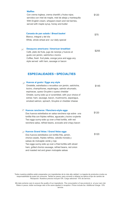| <b>Waffles</b><br>Con crema inglesa, crema chantillí y frutos rojos;<br>servidos con miel de maple, miel de abeja y mantequilla<br>With English cream, whipped cream and red berries,<br>served with maple syrup, honey and butter                                                                                                                                | \$120 |
|-------------------------------------------------------------------------------------------------------------------------------------------------------------------------------------------------------------------------------------------------------------------------------------------------------------------------------------------------------------------|-------|
| Canasta de pan salado / Bread basket<br>Blanco, integral y del día<br>White, whole wheat and our daily special                                                                                                                                                                                                                                                    | \$75  |
| Desayuno americano / American breakfast<br>Café, plato de fruta, jugo de naranja y huevos al<br>gusto con jamón, salchicha o tocino<br>Coffee, fresh fruit plate, orange juice and eggs any<br>style served with ham, sausage or bacon                                                                                                                            | \$255 |
| <b>ESPECIALIDADES • SPECIALTIES</b>                                                                                                                                                                                                                                                                                                                               |       |
| Huevos al gusto / Eggs any style<br>Omelette, estrellados o revueltos con jamón, salchicha,<br>tocino, champiñones, espárragos, salmón ahumado,<br>espinacas, queso Gruyère o queso cheddar<br>Omelet, sunny-side up or scrambled, with your choice of<br>extras: ham, sausage, bacon, mushrooms, asparagus,<br>smoked salmon, spinach, Gruyère or cheddar cheese | \$145 |
| Huevos rancheros / Ranchero-style eggs<br>Dos huevos estrellados en salsa ranchera roja sobre una<br>tortilla frita con frijoles refritos, aguacate y tocino crujiente<br>Two eggs sunny-side up over a fried tortilla, with red<br>ranchera salsa, refried beans, avocado and crispy bacon                                                                       | \$120 |
| ⊚ Huevos Grand Velas / Grand Velas eggs<br>Dos huevos estrellados con tortilla frita, jamón,<br>chorizo asado, frijoles refritos, cebolla morada y<br>salsas de molcajete verde y roja<br>Two eggs sunny-side up over a fried tortilla with sliced<br>ham, grilled chorizo sausage, refried beans, red onion<br>and roasted red and green molcajete salsas        | \$120 |

Todos nuestros platillos están preparados con ingredientes de la más alta calidad. La ingesta de productos crudos es responsabilidad de quien los consume. Tarifas en pesos; para convertir a dólares se aplica el tipo de cambio de Recepción. Nuestros precios incluyen IVA. Cargo adicional: 15% de servicio.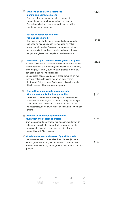| 家              | Omelette de camarón y espinacas<br><b>Shrimp and spinach omelette</b><br>Servido sobre un espejo de salsa cremosa de<br>aguacate con huarache de machaca de marlín<br>Served on a bed of creamy avocado sauce, with a<br>marlin machaca huarache                                                                                                                                                                                                                                                                 | \$175 |
|----------------|------------------------------------------------------------------------------------------------------------------------------------------------------------------------------------------------------------------------------------------------------------------------------------------------------------------------------------------------------------------------------------------------------------------------------------------------------------------------------------------------------------------|-------|
|                | <b>Huevos benedictinos poblanos</b><br><b>Poblano eggs benedict</b><br>Dos huevos pochados sobre bísquet a la mantequilla,<br>cubiertos de rajas poblanas y glaseados en salsa<br>holandesa al tequila / Two poached eggs served over<br>butter biscuits, topped with roasted strips of poblano<br>pepper and glazed with tequila hollandaise sauce                                                                                                                                                              | \$125 |
| 家              | Chilaquiles rojos o verdes / Red or green chilaquiles<br>Tortillas crujientes en cuadritos salteadas en salsa de su<br>elección (tomatillo o ranchera) con cebolla roja fileteada,<br>crema agria, cilantro y queso Cotija (pídalos naturales,<br>con pollo o con huevo estrellado)<br>Crispy tortilla squares sautéed in green tomatillo or red<br>ranchero salsa, with sliced red onion, sour cream,<br>cilantro and Cotija cheese. Order your chilaquiles plain,<br>with chicken or with a sunny-side up egg. | \$145 |
| $\smash\smile$ | Quesadillas integrales de pavo ahumado<br>Whole wheat smoked turkey quesadillas<br>Con queso cheddar reducido en grasa, jamón de pavo<br>ahumado, tortilla integral, salsa mexicana y crema light /<br>Low-fat cheddar cheese and smoked turkey in whole<br>wheat tortillas, served with Mexican salsa and low-fat sour<br>cream                                                                                                                                                                                 | \$120 |
|                | Omelette de espárragos y champiñones<br><b>Mushroom and asparagus omelet</b><br>Con crema roja de molcajete, miniquesadillas de flor de<br>calabaza y perejil frito / Served with a creamy roasted<br>tomato molcajete salsa and mini zucchini flower<br>quesadillas with fried parsley                                                                                                                                                                                                                          | \$165 |
|                | Omelette de claras de huevos / Egg white omelet<br>Servido con queso crema a las finas hierbas, jitomate,<br>cebolla, champiñones y pimiento morrón / Served with<br>herbed cream cheese, tomato, onion, mushrooms and bell<br>pepper                                                                                                                                                                                                                                                                            | \$120 |